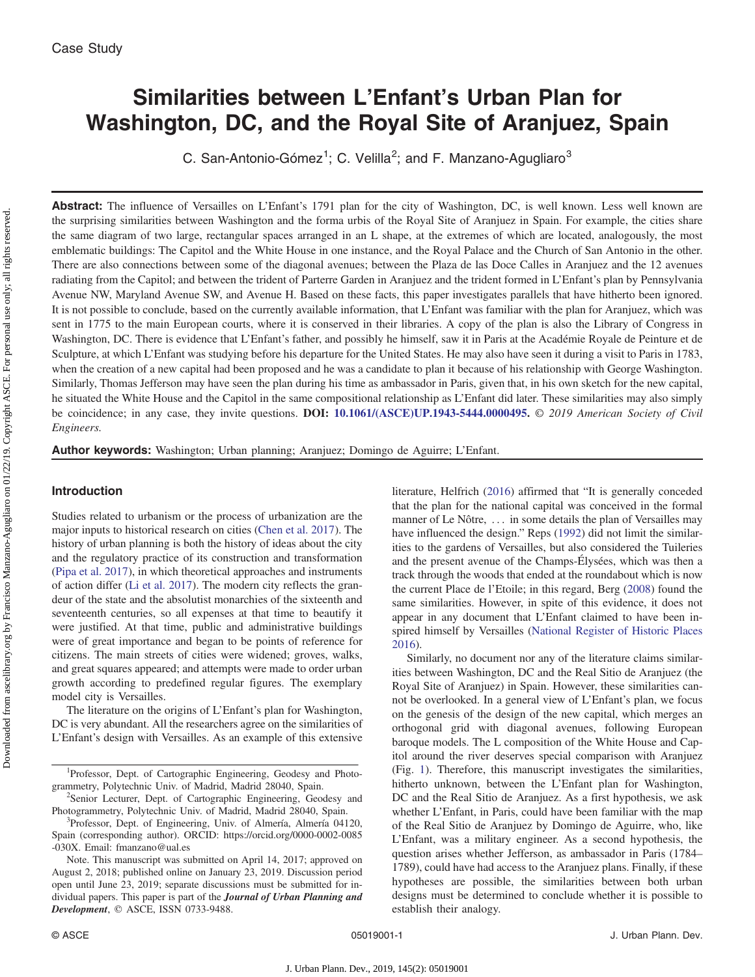# Similarities between L'Enfant's Urban Plan for Washington, DC, and the Royal Site of Aranjuez, Spain

C. San-Antonio-Gómez<sup>1</sup>; C. Velilla<sup>2</sup>; and F. Manzano-Agugliaro<sup>3</sup>

Abstract: The influence of Versailles on L'Enfant's 1791 plan for the city of Washington, DC, is well known. Less well known are the surprising similarities between Washington and the forma urbis of the Royal Site of Aranjuez in Spain. For example, the cities share the same diagram of two large, rectangular spaces arranged in an L shape, at the extremes of which are located, analogously, the most emblematic buildings: The Capitol and the White House in one instance, and the Royal Palace and the Church of San Antonio in the other. There are also connections between some of the diagonal avenues; between the Plaza de las Doce Calles in Aranjuez and the 12 avenues radiating from the Capitol; and between the trident of Parterre Garden in Aranjuez and the trident formed in L'Enfant's plan by Pennsylvania Avenue NW, Maryland Avenue SW, and Avenue H. Based on these facts, this paper investigates parallels that have hitherto been ignored. It is not possible to conclude, based on the currently available information, that L'Enfant was familiar with the plan for Aranjuez, which was sent in 1775 to the main European courts, where it is conserved in their libraries. A copy of the plan is also the Library of Congress in Washington, DC. There is evidence that L'Enfant's father, and possibly he himself, saw it in Paris at the Académie Royale de Peinture et de Sculpture, at which L'Enfant was studying before his departure for the United States. He may also have seen it during a visit to Paris in 1783, when the creation of a new capital had been proposed and he was a candidate to plan it because of his relationship with George Washington. Similarly, Thomas Jefferson may have seen the plan during his time as ambassador in Paris, given that, in his own sketch for the new capital, he situated the White House and the Capitol in the same compositional relationship as L'Enfant did later. These similarities may also simply be coincidence; in any case, they invite questions. DOI: [10.1061/\(ASCE\)UP.1943-5444.0000495.](https://doi.org/10.1061/(ASCE)UP.1943-5444.0000495) © 2019 American Society of Civil Engineers.

Author keywords: Washington; Urban planning; Aranjuez; Domingo de Aguirre; L'Enfant.

#### Introduction

Studies related to urbanism or the process of urbanization are the major inputs to historical research on cities [\(Chen et al. 2017\)](#page-9-0). The history of urban planning is both the history of ideas about the city and the regulatory practice of its construction and transformation [\(Pipa et al. 2017](#page-10-0)), in which theoretical approaches and instruments of action differ ([Li et al. 2017](#page-10-0)). The modern city reflects the grandeur of the state and the absolutist monarchies of the sixteenth and seventeenth centuries, so all expenses at that time to beautify it were justified. At that time, public and administrative buildings were of great importance and began to be points of reference for citizens. The main streets of cities were widened; groves, walks, and great squares appeared; and attempts were made to order urban growth according to predefined regular figures. The exemplary model city is Versailles.

The literature on the origins of L'Enfant's plan for Washington, DC is very abundant. All the researchers agree on the similarities of L'Enfant's design with Versailles. As an example of this extensive literature, Helfrich [\(2016](#page-9-0)) affirmed that "It is generally conceded that the plan for the national capital was conceived in the formal manner of Le Nôtre, ... in some details the plan of Versailles may have influenced the design." Reps ([1992\)](#page-10-0) did not limit the similarities to the gardens of Versailles, but also considered the Tuileries and the present avenue of the Champs-Élysées, which was then a track through the woods that ended at the roundabout which is now the current Place de l'Etoile; in this regard, Berg ([2008\)](#page-9-0) found the same similarities. However, in spite of this evidence, it does not appear in any document that L'Enfant claimed to have been inspired himself by Versailles [\(National Register of Historic Places](#page-10-0) [2016](#page-10-0)).

Similarly, no document nor any of the literature claims similarities between Washington, DC and the Real Sitio de Aranjuez (the Royal Site of Aranjuez) in Spain. However, these similarities cannot be overlooked. In a general view of L'Enfant's plan, we focus on the genesis of the design of the new capital, which merges an orthogonal grid with diagonal avenues, following European baroque models. The L composition of the White House and Capitol around the river deserves special comparison with Aranjuez (Fig. [1](#page-1-0)). Therefore, this manuscript investigates the similarities, hitherto unknown, between the L'Enfant plan for Washington, DC and the Real Sitio de Aranjuez. As a first hypothesis, we ask whether L'Enfant, in Paris, could have been familiar with the map of the Real Sitio de Aranjuez by Domingo de Aguirre, who, like L'Enfant, was a military engineer. As a second hypothesis, the question arises whether Jefferson, as ambassador in Paris (1784– 1789), could have had access to the Aranjuez plans. Finally, if these hypotheses are possible, the similarities between both urban designs must be determined to conclude whether it is possible to establish their analogy.

<sup>&</sup>lt;sup>1</sup>Professor, Dept. of Cartographic Engineering, Geodesy and Photogrammetry, Polytechnic Univ. of Madrid, Madrid 28040, Spain. <sup>2</sup>

<sup>&</sup>lt;sup>2</sup>Senior Lecturer, Dept. of Cartographic Engineering, Geodesy and Photogrammetry, Polytechnic Univ. of Madrid, Madrid 28040, Spain.

<sup>&</sup>lt;sup>3</sup>Professor, Dept. of Engineering, Univ. of Almería, Almería 04120, Spain (corresponding author). ORCID: [https://orcid.org/0000-0002-0085](https://orcid.org/0000-0002-0085-030X) [-030X.](https://orcid.org/0000-0002-0085-030X) Email: [fmanzano@ual.es](mailto:fmanzano@ual.es)

Note. This manuscript was submitted on April 14, 2017; approved on August 2, 2018; published online on January 23, 2019. Discussion period open until June 23, 2019; separate discussions must be submitted for individual papers. This paper is part of the Journal of Urban Planning and Development, © ASCE, ISSN 0733-9488.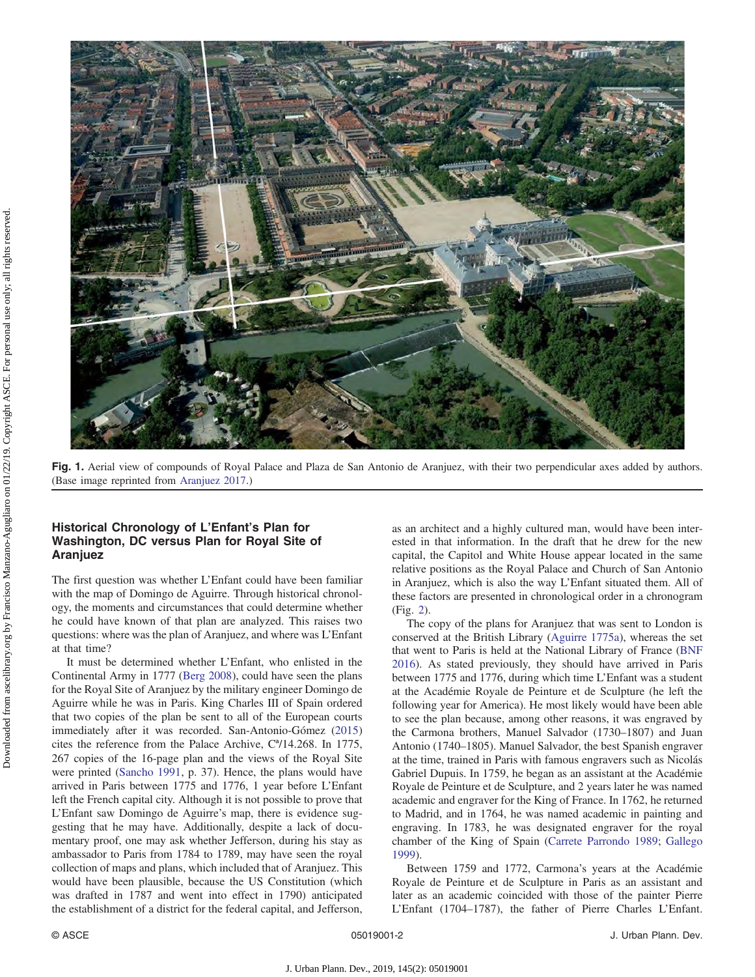<span id="page-1-0"></span>

Fig. 1. Aerial view of compounds of Royal Palace and Plaza de San Antonio de Aranjuez, with their two perpendicular axes added by authors. (Base image reprinted from [Aranjuez 2017.](#page-9-0))

### Historical Chronology of L'Enfant's Plan for Washington, DC versus Plan for Royal Site of Aranjuez

The first question was whether L'Enfant could have been familiar with the map of Domingo de Aguirre. Through historical chronology, the moments and circumstances that could determine whether he could have known of that plan are analyzed. This raises two questions: where was the plan of Aranjuez, and where was L'Enfant at that time?

It must be determined whether L'Enfant, who enlisted in the Continental Army in 1777 [\(Berg 2008](#page-9-0)), could have seen the plans for the Royal Site of Aranjuez by the military engineer Domingo de Aguirre while he was in Paris. King Charles III of Spain ordered that two copies of the plan be sent to all of the European courts immediately after it was recorded. San-Antonio-Gómez ([2015\)](#page-10-0) cites the reference from the Palace Archive, Cª/14.268. In 1775, 267 copies of the 16-page plan and the views of the Royal Site were printed ([Sancho 1991,](#page-10-0) p. 37). Hence, the plans would have arrived in Paris between 1775 and 1776, 1 year before L'Enfant left the French capital city. Although it is not possible to prove that L'Enfant saw Domingo de Aguirre's map, there is evidence suggesting that he may have. Additionally, despite a lack of documentary proof, one may ask whether Jefferson, during his stay as ambassador to Paris from 1784 to 1789, may have seen the royal collection of maps and plans, which included that of Aranjuez. This would have been plausible, because the US Constitution (which was drafted in 1787 and went into effect in 1790) anticipated the establishment of a district for the federal capital, and Jefferson, as an architect and a highly cultured man, would have been interested in that information. In the draft that he drew for the new capital, the Capitol and White House appear located in the same relative positions as the Royal Palace and Church of San Antonio in Aranjuez, which is also the way L'Enfant situated them. All of these factors are presented in chronological order in a chronogram (Fig. [2](#page-2-0)).

The copy of the plans for Aranjuez that was sent to London is conserved at the British Library ([Aguirre 1775a](#page-9-0)), whereas the set that went to Paris is held at the National Library of France ([BNF](#page-9-0) [2016](#page-9-0)). As stated previously, they should have arrived in Paris between 1775 and 1776, during which time L'Enfant was a student at the Académie Royale de Peinture et de Sculpture (he left the following year for America). He most likely would have been able to see the plan because, among other reasons, it was engraved by the Carmona brothers, Manuel Salvador (1730–1807) and Juan Antonio (1740–1805). Manuel Salvador, the best Spanish engraver at the time, trained in Paris with famous engravers such as Nicolás Gabriel Dupuis. In 1759, he began as an assistant at the Académie Royale de Peinture et de Sculpture, and 2 years later he was named academic and engraver for the King of France. In 1762, he returned to Madrid, and in 1764, he was named academic in painting and engraving. In 1783, he was designated engraver for the royal chamber of the King of Spain ([Carrete Parrondo 1989;](#page-9-0) [Gallego](#page-9-0) [1999](#page-9-0)).

Between 1759 and 1772, Carmona's years at the Académie Royale de Peinture et de Sculpture in Paris as an assistant and later as an academic coincided with those of the painter Pierre L'Enfant (1704–1787), the father of Pierre Charles L'Enfant.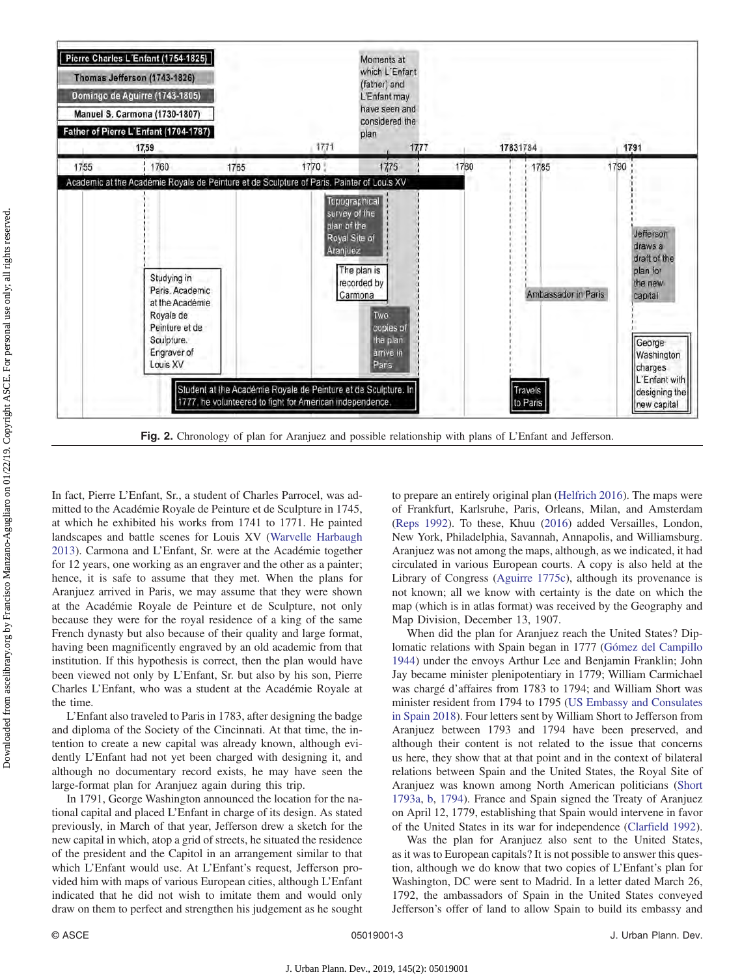<span id="page-2-0"></span>

Fig. 2. Chronology of plan for Aranjuez and possible relationship with plans of L'Enfant and Jefferson.

In fact, Pierre L'Enfant, Sr., a student of Charles Parrocel, was admitted to the Académie Royale de Peinture et de Sculpture in 1745, at which he exhibited his works from 1741 to 1771. He painted landscapes and battle scenes for Louis XV [\(Warvelle Harbaugh](#page-10-0) [2013](#page-10-0)). Carmona and L'Enfant, Sr. were at the Académie together for 12 years, one working as an engraver and the other as a painter; hence, it is safe to assume that they met. When the plans for Aranjuez arrived in Paris, we may assume that they were shown at the Académie Royale de Peinture et de Sculpture, not only because they were for the royal residence of a king of the same French dynasty but also because of their quality and large format, having been magnificently engraved by an old academic from that institution. If this hypothesis is correct, then the plan would have been viewed not only by L'Enfant, Sr. but also by his son, Pierre Charles L'Enfant, who was a student at the Académie Royale at the time.

L'Enfant also traveled to Paris in 1783, after designing the badge and diploma of the Society of the Cincinnati. At that time, the intention to create a new capital was already known, although evidently L'Enfant had not yet been charged with designing it, and although no documentary record exists, he may have seen the large-format plan for Aranjuez again during this trip.

In 1791, George Washington announced the location for the national capital and placed L'Enfant in charge of its design. As stated previously, in March of that year, Jefferson drew a sketch for the new capital in which, atop a grid of streets, he situated the residence of the president and the Capitol in an arrangement similar to that which L'Enfant would use. At L'Enfant's request, Jefferson provided him with maps of various European cities, although L'Enfant indicated that he did not wish to imitate them and would only draw on them to perfect and strengthen his judgement as he sought to prepare an entirely original plan ([Helfrich 2016](#page-9-0)). The maps were of Frankfurt, Karlsruhe, Paris, Orleans, Milan, and Amsterdam [\(Reps 1992](#page-10-0)). To these, Khuu ([2016\)](#page-9-0) added Versailles, London, New York, Philadelphia, Savannah, Annapolis, and Williamsburg. Aranjuez was not among the maps, although, as we indicated, it had circulated in various European courts. A copy is also held at the Library of Congress ([Aguirre 1775c\)](#page-9-0), although its provenance is not known; all we know with certainty is the date on which the map (which is in atlas format) was received by the Geography and Map Division, December 13, 1907.

When did the plan for Aranjuez reach the United States? Dip-lomatic relations with Spain began in 1777 [\(G](#page-9-0)ómez del Campillo [1944](#page-9-0)) under the envoys Arthur Lee and Benjamin Franklin; John Jay became minister plenipotentiary in 1779; William Carmichael was chargé d'affaires from 1783 to 1794; and William Short was minister resident from 1794 to 1795 ([US Embassy and Consulates](#page-10-0) [in Spain 2018](#page-10-0)). Four letters sent by William Short to Jefferson from Aranjuez between 1793 and 1794 have been preserved, and although their content is not related to the issue that concerns us here, they show that at that point and in the context of bilateral relations between Spain and the United States, the Royal Site of Aranjuez was known among North American politicians ([Short](#page-10-0) [1793a](#page-10-0), [b](#page-10-0), [1794](#page-10-0)). France and Spain signed the Treaty of Aranjuez on April 12, 1779, establishing that Spain would intervene in favor of the United States in its war for independence [\(Clarfield 1992\)](#page-9-0).

Was the plan for Aranjuez also sent to the United States, as it was to European capitals? It is not possible to answer this question, although we do know that two copies of L'Enfant's plan for Washington, DC were sent to Madrid. In a letter dated March 26, 1792, the ambassadors of Spain in the United States conveyed Jefferson's offer of land to allow Spain to build its embassy and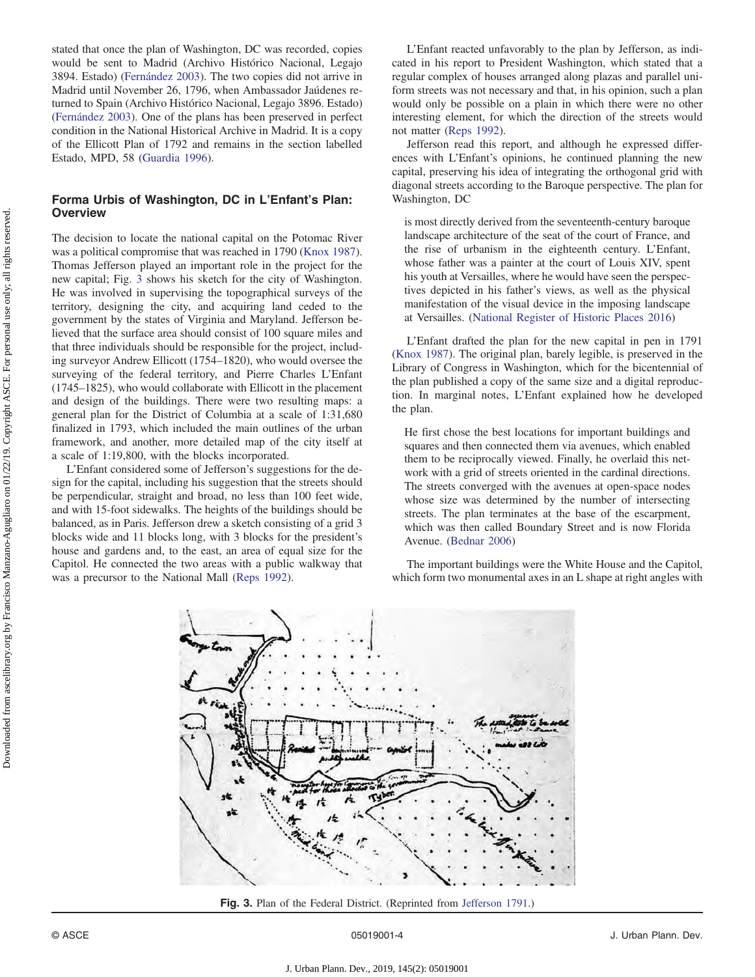stated that once the plan of Washington, DC was recorded, copies would be sent to Madrid (Archivo Histórico Nacional, Legajo 3894. Estado) [\(Fernández 2003](#page-9-0)). The two copies did not arrive in Madrid until November 26, 1796, when Ambassador Jaúdenes returned to Spain (Archivo Histórico Nacional, Legajo 3896. Estado) [\(Fernández 2003](#page-9-0)). One of the plans has been preserved in perfect condition in the National Historical Archive in Madrid. It is a copy of the Ellicott Plan of 1792 and remains in the section labelled Estado, MPD, 58 ([Guardia 1996](#page-9-0)).

#### Forma Urbis of Washington, DC in L'Enfant's Plan: **Overview**

The decision to locate the national capital on the Potomac River was a political compromise that was reached in 1790 [\(Knox 1987\)](#page-9-0). Thomas Jefferson played an important role in the project for the new capital; Fig. 3 shows his sketch for the city of Washington. He was involved in supervising the topographical surveys of the territory, designing the city, and acquiring land ceded to the government by the states of Virginia and Maryland. Jefferson believed that the surface area should consist of 100 square miles and that three individuals should be responsible for the project, including surveyor Andrew Ellicott (1754–1820), who would oversee the surveying of the federal territory, and Pierre Charles L'Enfant (1745–1825), who would collaborate with Ellicott in the placement and design of the buildings. There were two resulting maps: a general plan for the District of Columbia at a scale of 1:31,680 finalized in 1793, which included the main outlines of the urban framework, and another, more detailed map of the city itself at a scale of 1∶19,800, with the blocks incorporated.

L'Enfant considered some of Jefferson's suggestions for the design for the capital, including his suggestion that the streets should be perpendicular, straight and broad, no less than 100 feet wide, and with 15-foot sidewalks. The heights of the buildings should be balanced, as in Paris. Jefferson drew a sketch consisting of a grid 3 blocks wide and 11 blocks long, with 3 blocks for the president's house and gardens and, to the east, an area of equal size for the Capitol. He connected the two areas with a public walkway that was a precursor to the National Mall ([Reps 1992\)](#page-10-0).

L'Enfant reacted unfavorably to the plan by Jefferson, as indicated in his report to President Washington, which stated that a regular complex of houses arranged along plazas and parallel uniform streets was not necessary and that, in his opinion, such a plan would only be possible on a plain in which there were no other interesting element, for which the direction of the streets would not matter ([Reps 1992](#page-10-0)).

Jefferson read this report, and although he expressed differences with L'Enfant's opinions, he continued planning the new capital, preserving his idea of integrating the orthogonal grid with diagonal streets according to the Baroque perspective. The plan for Washington, DC

is most directly derived from the seventeenth-century baroque landscape architecture of the seat of the court of France, and the rise of urbanism in the eighteenth century. L'Enfant, whose father was a painter at the court of Louis XIV, spent his youth at Versailles, where he would have seen the perspectives depicted in his father's views, as well as the physical manifestation of the visual device in the imposing landscape at Versailles. [\(National Register of Historic Places 2016\)](#page-10-0)

L'Enfant drafted the plan for the new capital in pen in 1791 [\(Knox 1987](#page-9-0)). The original plan, barely legible, is preserved in the Library of Congress in Washington, which for the bicentennial of the plan published a copy of the same size and a digital reproduction. In marginal notes, L'Enfant explained how he developed the plan.

He first chose the best locations for important buildings and squares and then connected them via avenues, which enabled them to be reciprocally viewed. Finally, he overlaid this network with a grid of streets oriented in the cardinal directions. The streets converged with the avenues at open-space nodes whose size was determined by the number of intersecting streets. The plan terminates at the base of the escarpment, which was then called Boundary Street and is now Florida Avenue. [\(Bednar 2006](#page-9-0))

The important buildings were the White House and the Capitol, which form two monumental axes in an L shape at right angles with



Fig. 3. Plan of the Federal District. (Reprinted from [Jefferson 1791](#page-9-0).)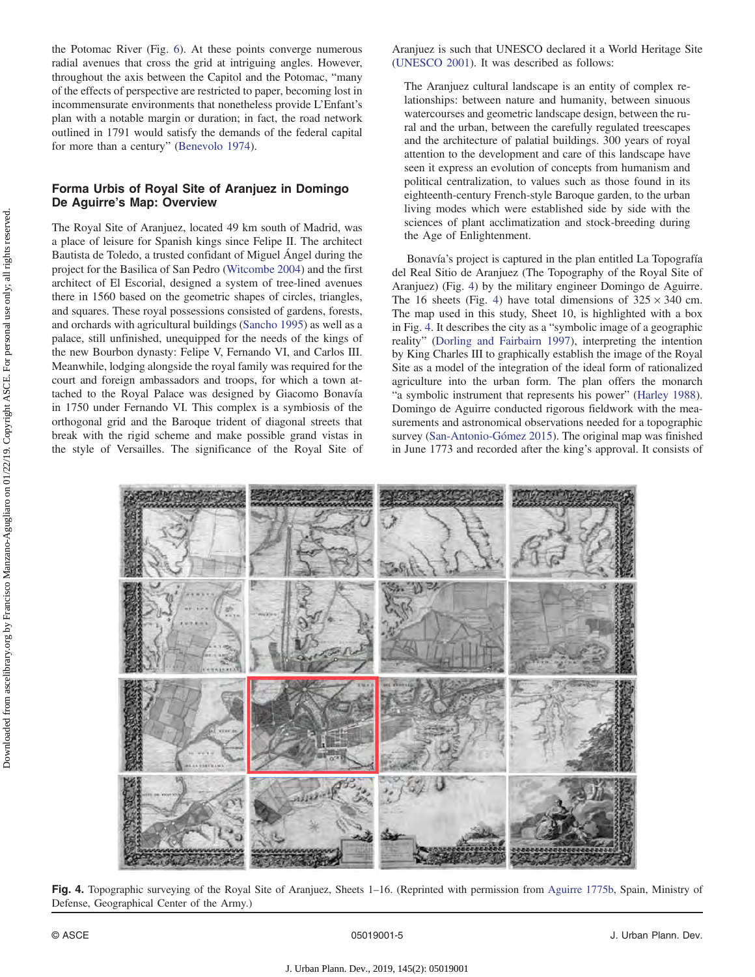the Potomac River (Fig. [6\)](#page-6-0). At these points converge numerous radial avenues that cross the grid at intriguing angles. However, throughout the axis between the Capitol and the Potomac, "many of the effects of perspective are restricted to paper, becoming lost in incommensurate environments that nonetheless provide L'Enfant's plan with a notable margin or duration; in fact, the road network outlined in 1791 would satisfy the demands of the federal capital for more than a century" ([Benevolo 1974](#page-9-0)).

### Forma Urbis of Royal Site of Aranjuez in Domingo De Aguirre's Map: Overview

The Royal Site of Aranjuez, located 49 km south of Madrid, was a place of leisure for Spanish kings since Felipe II. The architect Bautista de Toledo, a trusted confidant of Miguel Ángel during the project for the Basilica of San Pedro ([Witcombe 2004](#page-10-0)) and the first architect of El Escorial, designed a system of tree-lined avenues there in 1560 based on the geometric shapes of circles, triangles, and squares. These royal possessions consisted of gardens, forests, and orchards with agricultural buildings [\(Sancho 1995](#page-10-0)) as well as a palace, still unfinished, unequipped for the needs of the kings of the new Bourbon dynasty: Felipe V, Fernando VI, and Carlos III. Meanwhile, lodging alongside the royal family was required for the court and foreign ambassadors and troops, for which a town attached to the Royal Palace was designed by Giacomo Bonavía in 1750 under Fernando VI. This complex is a symbiosis of the orthogonal grid and the Baroque trident of diagonal streets that break with the rigid scheme and make possible grand vistas in the style of Versailles. The significance of the Royal Site of Aranjuez is such that UNESCO declared it a World Heritage Site [\(UNESCO 2001](#page-10-0)). It was described as follows:

The Aranjuez cultural landscape is an entity of complex relationships: between nature and humanity, between sinuous watercourses and geometric landscape design, between the rural and the urban, between the carefully regulated treescapes and the architecture of palatial buildings. 300 years of royal attention to the development and care of this landscape have seen it express an evolution of concepts from humanism and political centralization, to values such as those found in its eighteenth-century French-style Baroque garden, to the urban living modes which were established side by side with the sciences of plant acclimatization and stock-breeding during the Age of Enlightenment.

Bonavía's project is captured in the plan entitled La Topografía del Real Sitio de Aranjuez (The Topography of the Royal Site of Aranjuez) (Fig. 4) by the military engineer Domingo de Aguirre. The 16 sheets (Fig. 4) have total dimensions of  $325 \times 340$  cm. The map used in this study, Sheet 10, is highlighted with a box in Fig. 4. It describes the city as a "symbolic image of a geographic reality" [\(Dorling and Fairbairn 1997\)](#page-9-0), interpreting the intention by King Charles III to graphically establish the image of the Royal Site as a model of the integration of the ideal form of rationalized agriculture into the urban form. The plan offers the monarch "a symbolic instrument that represents his power" ([Harley 1988\)](#page-9-0). Domingo de Aguirre conducted rigorous fieldwork with the measurements and astronomical observations needed for a topographic survey [\(San-Antonio-G](#page-10-0)ómez 2015). The original map was finished in June 1773 and recorded after the king's approval. It consists of



Fig. 4. Topographic surveying of the Royal Site of Aranjuez, Sheets 1–16. (Reprinted with permission from [Aguirre 1775b,](#page-9-0) Spain, Ministry of Defense, Geographical Center of the Army.)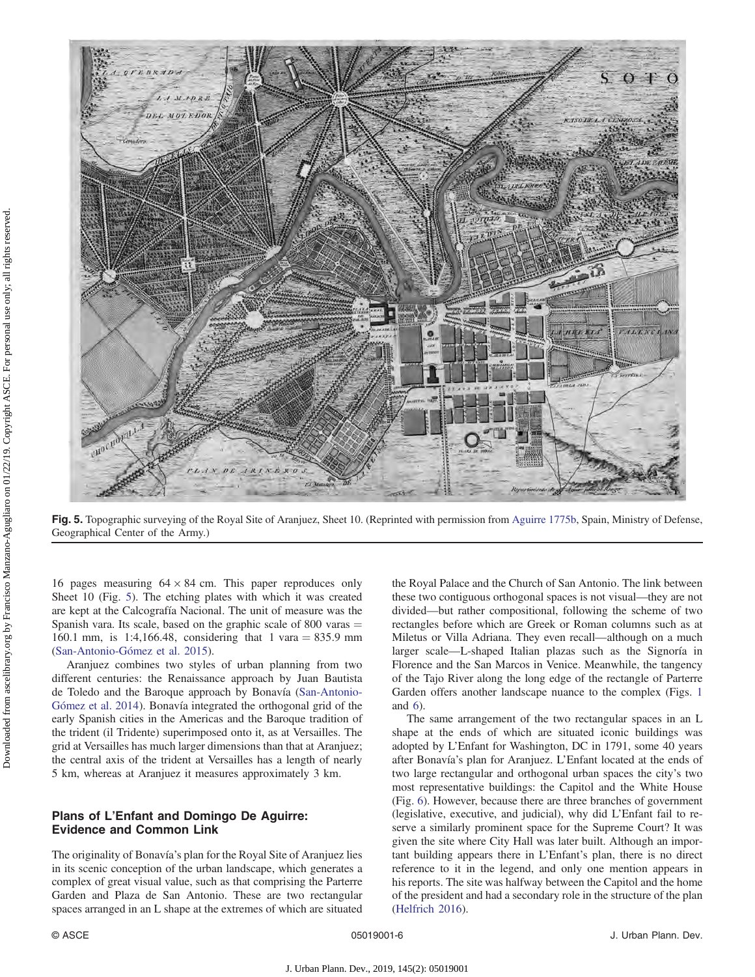

Fig. 5. Topographic surveying of the Royal Site of Aranjuez, Sheet 10. (Reprinted with permission from [Aguirre 1775b](#page-9-0), Spain, Ministry of Defense, Geographical Center of the Army.)

16 pages measuring  $64 \times 84$  cm. This paper reproduces only Sheet 10 (Fig. 5). The etching plates with which it was created are kept at the Calcografía Nacional. The unit of measure was the Spanish vara. Its scale, based on the graphic scale of 800 varas  $=$ 160.1 mm, is 1:4,166.48, considering that 1 vara = 835.9 mm [\(San-Antonio-G](#page-10-0)ómez et al. 2015).

Aranjuez combines two styles of urban planning from two different centuries: the Renaissance approach by Juan Bautista de Toledo and the Baroque approach by Bonavía ([San-Antonio-](#page-10-0)[G](#page-10-0)ómez et al. 2014). Bonavía integrated the orthogonal grid of the early Spanish cities in the Americas and the Baroque tradition of the trident (il Tridente) superimposed onto it, as at Versailles. The grid at Versailles has much larger dimensions than that at Aranjuez; the central axis of the trident at Versailles has a length of nearly 5 km, whereas at Aranjuez it measures approximately 3 km.

#### Plans of L'Enfant and Domingo De Aguirre: Evidence and Common Link

The originality of Bonavía's plan for the Royal Site of Aranjuez lies in its scenic conception of the urban landscape, which generates a complex of great visual value, such as that comprising the Parterre Garden and Plaza de San Antonio. These are two rectangular spaces arranged in an L shape at the extremes of which are situated the Royal Palace and the Church of San Antonio. The link between these two contiguous orthogonal spaces is not visual—they are not divided—but rather compositional, following the scheme of two rectangles before which are Greek or Roman columns such as at Miletus or Villa Adriana. They even recall—although on a much larger scale—L-shaped Italian plazas such as the Signoría in Florence and the San Marcos in Venice. Meanwhile, the tangency of the Tajo River along the long edge of the rectangle of Parterre Garden offers another landscape nuance to the complex (Figs. [1](#page-1-0) and [6\)](#page-6-0).

The same arrangement of the two rectangular spaces in an L shape at the ends of which are situated iconic buildings was adopted by L'Enfant for Washington, DC in 1791, some 40 years after Bonavía's plan for Aranjuez. L'Enfant located at the ends of two large rectangular and orthogonal urban spaces the city's two most representative buildings: the Capitol and the White House (Fig. [6](#page-6-0)). However, because there are three branches of government (legislative, executive, and judicial), why did L'Enfant fail to reserve a similarly prominent space for the Supreme Court? It was given the site where City Hall was later built. Although an important building appears there in L'Enfant's plan, there is no direct reference to it in the legend, and only one mention appears in his reports. The site was halfway between the Capitol and the home of the president and had a secondary role in the structure of the plan [\(Helfrich 2016\)](#page-9-0).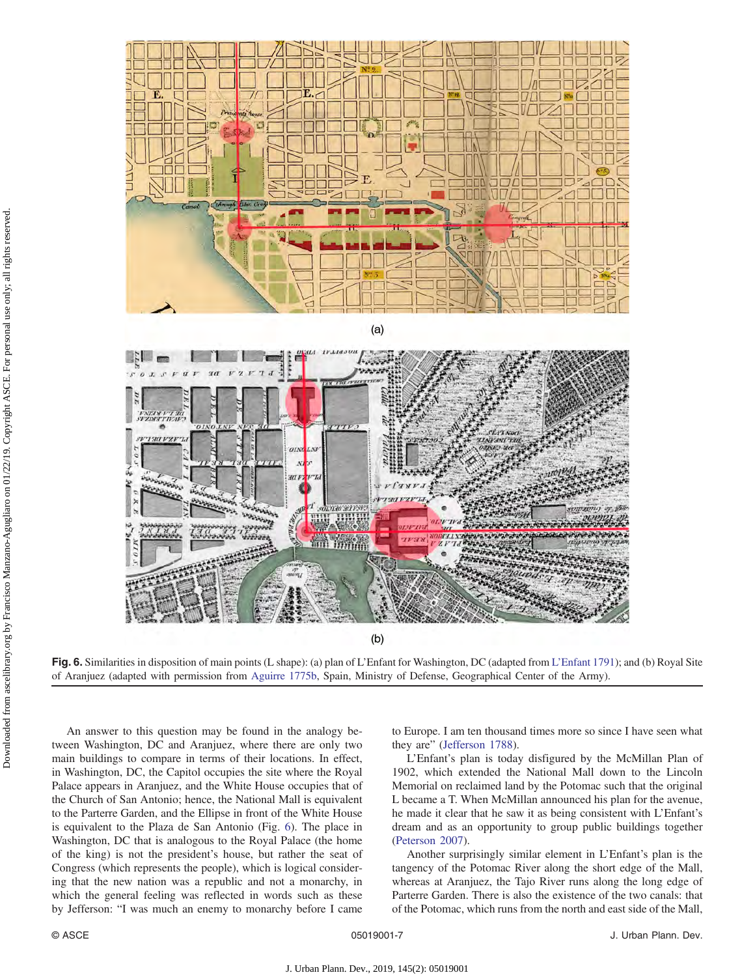<span id="page-6-0"></span>



An answer to this question may be found in the analogy between Washington, DC and Aranjuez, where there are only two main buildings to compare in terms of their locations. In effect, in Washington, DC, the Capitol occupies the site where the Royal Palace appears in Aranjuez, and the White House occupies that of the Church of San Antonio; hence, the National Mall is equivalent to the Parterre Garden, and the Ellipse in front of the White House is equivalent to the Plaza de San Antonio (Fig. 6). The place in Washington, DC that is analogous to the Royal Palace (the home of the king) is not the president's house, but rather the seat of Congress (which represents the people), which is logical considering that the new nation was a republic and not a monarchy, in which the general feeling was reflected in words such as these by Jefferson: "I was much an enemy to monarchy before I came to Europe. I am ten thousand times more so since I have seen what they are" [\(Jefferson 1788](#page-9-0)).

L'Enfant's plan is today disfigured by the McMillan Plan of 1902, which extended the National Mall down to the Lincoln Memorial on reclaimed land by the Potomac such that the original L became a T. When McMillan announced his plan for the avenue, he made it clear that he saw it as being consistent with L'Enfant's dream and as an opportunity to group public buildings together [\(Peterson 2007\)](#page-10-0).

Another surprisingly similar element in L'Enfant's plan is the tangency of the Potomac River along the short edge of the Mall, whereas at Aranjuez, the Tajo River runs along the long edge of Parterre Garden. There is also the existence of the two canals: that of the Potomac, which runs from the north and east side of the Mall,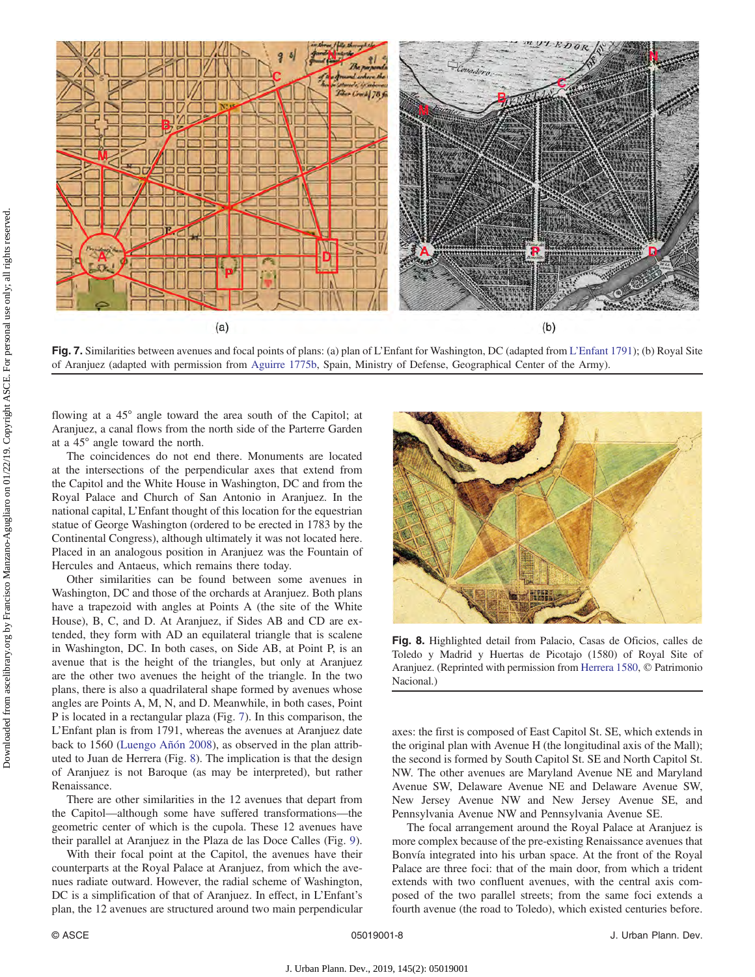

Fig. 7. Similarities between avenues and focal points of plans: (a) plan of L'Enfant for Washington, DC (adapted from L'[Enfant 1791](#page-9-0)); (b) Royal Site of Aranjuez (adapted with permission from [Aguirre 1775b,](#page-9-0) Spain, Ministry of Defense, Geographical Center of the Army).

flowing at a 45° angle toward the area south of the Capitol; at Aranjuez, a canal flows from the north side of the Parterre Garden at a 45° angle toward the north.

The coincidences do not end there. Monuments are located at the intersections of the perpendicular axes that extend from the Capitol and the White House in Washington, DC and from the Royal Palace and Church of San Antonio in Aranjuez. In the national capital, L'Enfant thought of this location for the equestrian statue of George Washington (ordered to be erected in 1783 by the Continental Congress), although ultimately it was not located here. Placed in an analogous position in Aranjuez was the Fountain of Hercules and Antaeus, which remains there today.

Other similarities can be found between some avenues in Washington, DC and those of the orchards at Aranjuez. Both plans have a trapezoid with angles at Points A (the site of the White House), B, C, and D. At Aranjuez, if Sides AB and CD are extended, they form with AD an equilateral triangle that is scalene in Washington, DC. In both cases, on Side AB, at Point P, is an avenue that is the height of the triangles, but only at Aranjuez are the other two avenues the height of the triangle. In the two plans, there is also a quadrilateral shape formed by avenues whose angles are Points A, M, N, and D. Meanwhile, in both cases, Point P is located in a rectangular plaza (Fig. 7). In this comparison, the L'Enfant plan is from 1791, whereas the avenues at Aranjuez date back to 1560 ([Luengo A](#page-10-0)ñó[n 2008](#page-10-0)), as observed in the plan attributed to Juan de Herrera (Fig. 8). The implication is that the design of Aranjuez is not Baroque (as may be interpreted), but rather Renaissance.

There are other similarities in the 12 avenues that depart from the Capitol—although some have suffered transformations—the geometric center of which is the cupola. These 12 avenues have their parallel at Aranjuez in the Plaza de las Doce Calles (Fig. [9\)](#page-8-0).

With their focal point at the Capitol, the avenues have their counterparts at the Royal Palace at Aranjuez, from which the avenues radiate outward. However, the radial scheme of Washington, DC is a simplification of that of Aranjuez. In effect, in L'Enfant's plan, the 12 avenues are structured around two main perpendicular



Fig. 8. Highlighted detail from Palacio, Casas de Oficios, calles de Toledo y Madrid y Huertas de Picotajo (1580) of Royal Site of Aranjuez. (Reprinted with permission from [Herrera 1580,](#page-9-0) © Patrimonio Nacional.)

axes: the first is composed of East Capitol St. SE, which extends in the original plan with Avenue H (the longitudinal axis of the Mall); the second is formed by South Capitol St. SE and North Capitol St. NW. The other avenues are Maryland Avenue NE and Maryland Avenue SW, Delaware Avenue NE and Delaware Avenue SW, New Jersey Avenue NW and New Jersey Avenue SE, and Pennsylvania Avenue NW and Pennsylvania Avenue SE.

The focal arrangement around the Royal Palace at Aranjuez is more complex because of the pre-existing Renaissance avenues that Bonvía integrated into his urban space. At the front of the Royal Palace are three foci: that of the main door, from which a trident extends with two confluent avenues, with the central axis composed of the two parallel streets; from the same foci extends a fourth avenue (the road to Toledo), which existed centuries before.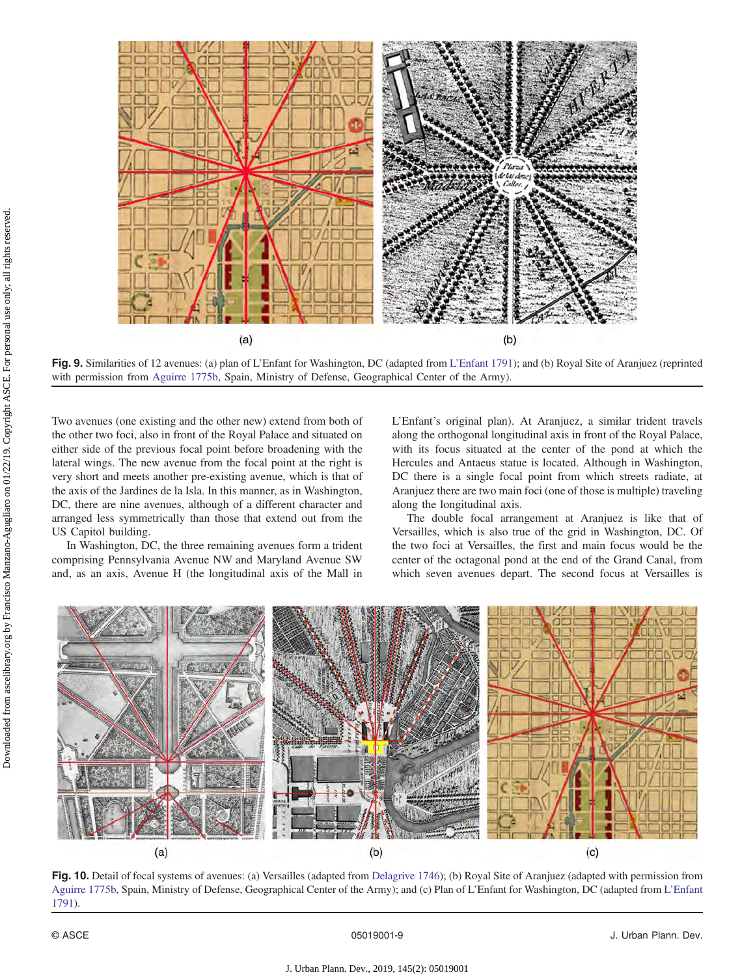<span id="page-8-0"></span>

Fig. 9. Similarities of 12 avenues: (a) plan of L'Enfant for Washington, DC (adapted from L'[Enfant 1791](#page-9-0)); and (b) Royal Site of Aranjuez (reprinted with permission from [Aguirre 1775b,](#page-9-0) Spain, Ministry of Defense, Geographical Center of the Army).

Two avenues (one existing and the other new) extend from both of the other two foci, also in front of the Royal Palace and situated on either side of the previous focal point before broadening with the lateral wings. The new avenue from the focal point at the right is very short and meets another pre-existing avenue, which is that of the axis of the Jardines de la Isla. In this manner, as in Washington, DC, there are nine avenues, although of a different character and arranged less symmetrically than those that extend out from the US Capitol building.

In Washington, DC, the three remaining avenues form a trident comprising Pennsylvania Avenue NW and Maryland Avenue SW and, as an axis, Avenue H (the longitudinal axis of the Mall in L'Enfant's original plan). At Aranjuez, a similar trident travels along the orthogonal longitudinal axis in front of the Royal Palace, with its focus situated at the center of the pond at which the Hercules and Antaeus statue is located. Although in Washington, DC there is a single focal point from which streets radiate, at Aranjuez there are two main foci (one of those is multiple) traveling along the longitudinal axis.

The double focal arrangement at Aranjuez is like that of Versailles, which is also true of the grid in Washington, DC. Of the two foci at Versailles, the first and main focus would be the center of the octagonal pond at the end of the Grand Canal, from which seven avenues depart. The second focus at Versailles is



Fig. 10. Detail of focal systems of avenues: (a) Versailles (adapted from [Delagrive 1746\)](#page-9-0); (b) Royal Site of Aranjuez (adapted with permission from [Aguirre 1775b](#page-9-0), Spain, Ministry of Defense, Geographical Center of the Army); and (c) Plan of L'Enfant for Washington, DC (adapted from L'[Enfant](#page-9-0) [1791](#page-9-0)).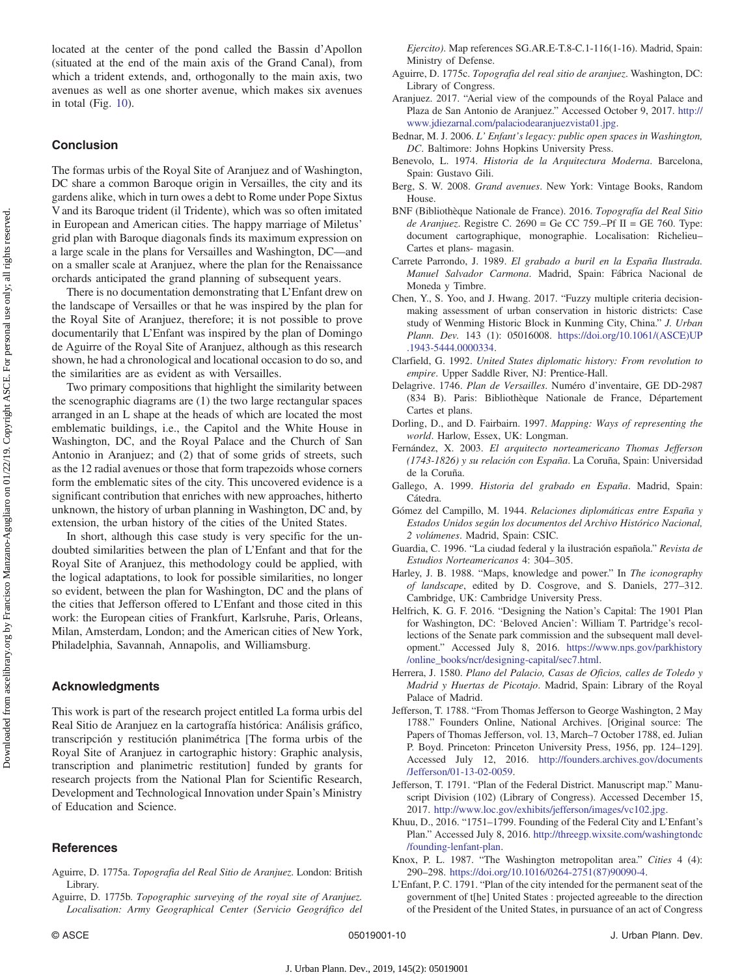Downloaded from ascelibrary.org by Francisco Manzano-Agugliaro on 01/22/19. Copyright ASCE. For personal use only; all rights reserved. Downloaded from ascelibrary.org by Francisco Manzano-Agugliaro on 01/22/19. Copyright ASCE. For personal use only; all rights reserved. <span id="page-9-0"></span>located at the center of the pond called the Bassin d'Apollon (situated at the end of the main axis of the Grand Canal), from which a trident extends, and, orthogonally to the main axis, two avenues as well as one shorter avenue, which makes six avenues in total (Fig. [10\)](#page-8-0).

# **Conclusion**

The formas urbis of the Royal Site of Aranjuez and of Washington, DC share a common Baroque origin in Versailles, the city and its gardens alike, which in turn owes a debt to Rome under Pope Sixtus V and its Baroque trident (il Tridente), which was so often imitated in European and American cities. The happy marriage of Miletus' grid plan with Baroque diagonals finds its maximum expression on a large scale in the plans for Versailles and Washington, DC—and on a smaller scale at Aranjuez, where the plan for the Renaissance orchards anticipated the grand planning of subsequent years.

There is no documentation demonstrating that L'Enfant drew on the landscape of Versailles or that he was inspired by the plan for the Royal Site of Aranjuez, therefore; it is not possible to prove documentarily that L'Enfant was inspired by the plan of Domingo de Aguirre of the Royal Site of Aranjuez, although as this research shown, he had a chronological and locational occasion to do so, and the similarities are as evident as with Versailles.

Two primary compositions that highlight the similarity between the scenographic diagrams are (1) the two large rectangular spaces arranged in an L shape at the heads of which are located the most emblematic buildings, i.e., the Capitol and the White House in Washington, DC, and the Royal Palace and the Church of San Antonio in Aranjuez; and (2) that of some grids of streets, such as the 12 radial avenues or those that form trapezoids whose corners form the emblematic sites of the city. This uncovered evidence is a significant contribution that enriches with new approaches, hitherto unknown, the history of urban planning in Washington, DC and, by extension, the urban history of the cities of the United States.

In short, although this case study is very specific for the undoubted similarities between the plan of L'Enfant and that for the Royal Site of Aranjuez, this methodology could be applied, with the logical adaptations, to look for possible similarities, no longer so evident, between the plan for Washington, DC and the plans of the cities that Jefferson offered to L'Enfant and those cited in this work: the European cities of Frankfurt, Karlsruhe, Paris, Orleans, Milan, Amsterdam, London; and the American cities of New York, Philadelphia, Savannah, Annapolis, and Williamsburg.

# Acknowledgments

This work is part of the research project entitled La forma urbis del Real Sitio de Aranjuez en la cartografía histórica: Análisis gráfico, transcripción y restitución planimétrica [The forma urbis of the Royal Site of Aranjuez in cartographic history: Graphic analysis, transcription and planimetric restitution] funded by grants for research projects from the National Plan for Scientific Research, Development and Technological Innovation under Spain's Ministry of Education and Science.

# **References**

- Aguirre, D. 1775a. Topografia del Real Sitio de Aranjuez. London: British Library.
- Aguirre, D. 1775b. Topographic surveying of the royal site of Aranjuez. Localisation: Army Geographical Center (Servicio Geográfico del

Ejercito). Map references SG.AR.E-T.8-C.1-116(1-16). Madrid, Spain: Ministry of Defense.

- Aguirre, D. 1775c. Topografia del real sitio de aranjuez. Washington, DC: Library of Congress.
- Aranjuez. 2017. "Aerial view of the compounds of the Royal Palace and Plaza de San Antonio de Aranjuez." Accessed October 9, 2017. [http://](http://www.jdiezarnal.com/palaciodearanjuezvista01.jpg) [www.jdiezarnal.com/palaciodearanjuezvista01.jpg.](http://www.jdiezarnal.com/palaciodearanjuezvista01.jpg)
- Bednar, M. J. 2006. L' Enfant's legacy: public open spaces in Washington, DC. Baltimore: Johns Hopkins University Press.
- Benevolo, L. 1974. Historia de la Arquitectura Moderna. Barcelona, Spain: Gustavo Gili.
- Berg, S. W. 2008. Grand avenues. New York: Vintage Books, Random House.
- BNF (Bibliothèque Nationale de France). 2016. Topografía del Real Sitio de Aranjuez. Registre C. 2690 = Ge CC 759.–Pf II = GE 760. Type: document cartographique, monographie. Localisation: Richelieu– Cartes et plans- magasin.
- Carrete Parrondo, J. 1989. El grabado a buril en la España Ilustrada. Manuel Salvador Carmona. Madrid, Spain: Fábrica Nacional de Moneda y Timbre.
- Chen, Y., S. Yoo, and J. Hwang. 2017. "Fuzzy multiple criteria decisionmaking assessment of urban conservation in historic districts: Case study of Wenming Historic Block in Kunming City, China." J. Urban Plann. Dev. 143 (1): 05016008. [https://doi.org/10.1061/\(ASCE\)UP](https://doi.org/10.1061/(ASCE)UP.1943-5444.0000334) [.1943-5444.0000334.](https://doi.org/10.1061/(ASCE)UP.1943-5444.0000334)
- Clarfield, G. 1992. United States diplomatic history: From revolution to empire. Upper Saddle River, NJ: Prentice-Hall.
- Delagrive. 1746. Plan de Versailles. Numéro d'inventaire, GE DD-2987 (834 B). Paris: Bibliothèque Nationale de France, Département Cartes et plans.
- Dorling, D., and D. Fairbairn. 1997. Mapping: Ways of representing the world. Harlow, Essex, UK: Longman.
- Fernández, X. 2003. El arquitecto norteamericano Thomas Jefferson (1743-1826) y su relación con España. La Coruña, Spain: Universidad de la Coruña.
- Gallego, A. 1999. Historia del grabado en España. Madrid, Spain: Cátedra.
- Gómez del Campillo, M. 1944. Relaciones diplomáticas entre España y Estados Unidos según los documentos del Archivo Histórico Nacional, 2 volúmenes. Madrid, Spain: CSIC.
- Guardia, C. 1996. "La ciudad federal y la ilustración española." Revista de Estudios Norteamericanos 4: 304–305.
- Harley, J. B. 1988. "Maps, knowledge and power." In The iconography of landscape, edited by D. Cosgrove, and S. Daniels, 277–312. Cambridge, UK: Cambridge University Press.
- Helfrich, K. G. F. 2016. "Designing the Nation's Capital: The 1901 Plan for Washington, DC: 'Beloved Ancien': William T. Partridge's recollections of the Senate park commission and the subsequent mall development." Accessed July 8, 2016. [https://www.nps.gov/parkhistory](https://www.nps.gov/parkhistory/online_books/ncr/designing-capital/sec7.html) [/online\\_books/ncr/designing-capital/sec7.html.](https://www.nps.gov/parkhistory/online_books/ncr/designing-capital/sec7.html)
- Herrera, J. 1580. Plano del Palacio, Casas de Oficios, calles de Toledo y Madrid y Huertas de Picotajo. Madrid, Spain: Library of the Royal Palace of Madrid.
- Jefferson, T. 1788. "From Thomas Jefferson to George Washington, 2 May 1788." Founders Online, National Archives. [Original source: The Papers of Thomas Jefferson, vol. 13, March–7 October 1788, ed. Julian P. Boyd. Princeton: Princeton University Press, 1956, pp. 124–129]. Accessed July 12, 2016. [http://founders.archives.gov/documents](http://founders.archives.gov/documents/Jefferson/01-13-02-0059) [/Jefferson/01-13-02-0059.](http://founders.archives.gov/documents/Jefferson/01-13-02-0059)
- Jefferson, T. 1791. "Plan of the Federal District. Manuscript map." Manuscript Division (102) (Library of Congress). Accessed December 15, 2017. [http://www.loc.gov/exhibits/jefferson/images/vc102.jpg.](http://www.loc.gov/exhibits/jefferson/images/vc102.jpg )
- Khuu, D., 2016. "1751–1799. Founding of the Federal City and L'Enfant's Plan." Accessed July 8, 2016. [http://threegp.wixsite.com/washingtondc](http://threegp.wixsite.com/washingtondc/founding-lenfant-plan) [/founding-lenfant-plan](http://threegp.wixsite.com/washingtondc/founding-lenfant-plan).
- Knox, P. L. 1987. "The Washington metropolitan area." Cities 4 (4): 290–298. [https://doi.org/10.1016/0264-2751\(87\)90090-4](https://doi.org/10.1016/0264-2751(87)90090-4).
- L'Enfant, P. C. 1791. "Plan of the city intended for the permanent seat of the government of t[he] United States : projected agreeable to the direction of the President of the United States, in pursuance of an act of Congress